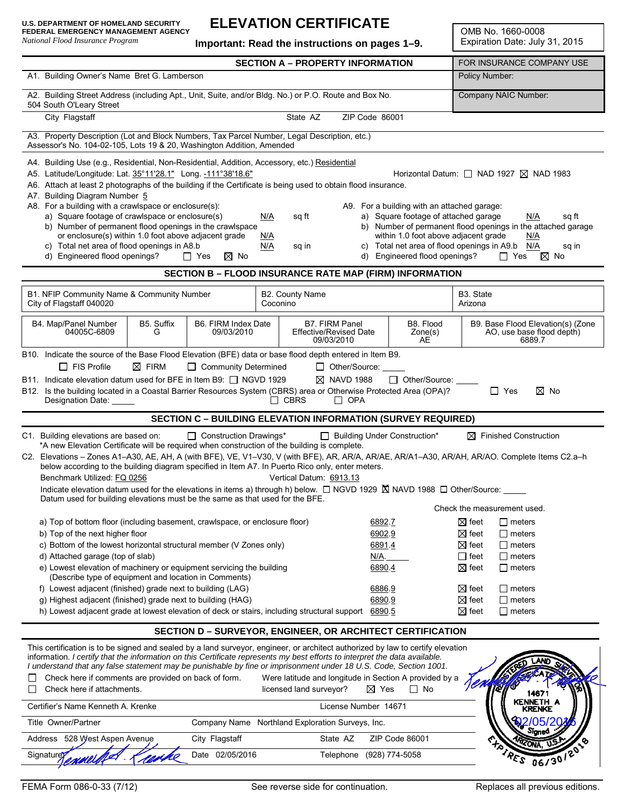### **ELEVATION CERTIFICATE**

**Important: Read the instructions on pages 1–9.**

OMB No. 1660-0008 Expiration Date: July 31, 2015

|                                                                                                                                                                                                                                                                                                                                                                                                                                                                                                                                                                                                                                                                                                                                                                                                                                                                                                                     |                  |                                   | <b>SECTION A - PROPERTY INFORMATION</b>          |                                                                      |                                                                                                                                                           |                                                                                             | FOR INSURANCE COMPANY USE                                                                                                                                                                     |
|---------------------------------------------------------------------------------------------------------------------------------------------------------------------------------------------------------------------------------------------------------------------------------------------------------------------------------------------------------------------------------------------------------------------------------------------------------------------------------------------------------------------------------------------------------------------------------------------------------------------------------------------------------------------------------------------------------------------------------------------------------------------------------------------------------------------------------------------------------------------------------------------------------------------|------------------|-----------------------------------|--------------------------------------------------|----------------------------------------------------------------------|-----------------------------------------------------------------------------------------------------------------------------------------------------------|---------------------------------------------------------------------------------------------|-----------------------------------------------------------------------------------------------------------------------------------------------------------------------------------------------|
| A1. Building Owner's Name Bret G. Lamberson                                                                                                                                                                                                                                                                                                                                                                                                                                                                                                                                                                                                                                                                                                                                                                                                                                                                         |                  |                                   |                                                  |                                                                      |                                                                                                                                                           | Policy Number:                                                                              |                                                                                                                                                                                               |
| A2. Building Street Address (including Apt., Unit, Suite, and/or Bldg. No.) or P.O. Route and Box No.<br>504 South O'Leary Street                                                                                                                                                                                                                                                                                                                                                                                                                                                                                                                                                                                                                                                                                                                                                                                   |                  |                                   |                                                  |                                                                      |                                                                                                                                                           | Company NAIC Number:                                                                        |                                                                                                                                                                                               |
| City Flagstaff                                                                                                                                                                                                                                                                                                                                                                                                                                                                                                                                                                                                                                                                                                                                                                                                                                                                                                      |                  |                                   | State AZ                                         | ZIP Code 86001                                                       |                                                                                                                                                           |                                                                                             |                                                                                                                                                                                               |
| A3. Property Description (Lot and Block Numbers, Tax Parcel Number, Legal Description, etc.)<br>Assessor's No. 104-02-105, Lots 19 & 20, Washington Addition, Amended                                                                                                                                                                                                                                                                                                                                                                                                                                                                                                                                                                                                                                                                                                                                               |                  |                                   |                                                  |                                                                      |                                                                                                                                                           |                                                                                             |                                                                                                                                                                                               |
| A4. Building Use (e.g., Residential, Non-Residential, Addition, Accessory, etc.) Residential<br>A5. Latitude/Longitude: Lat. 35°11'28.1" Long. -111°38'18.6"<br>A6. Attach at least 2 photographs of the building if the Certificate is being used to obtain flood insurance.<br>A7. Building Diagram Number 5<br>A8. For a building with a crawlspace or enclosure(s):<br>A9. For a building with an attached garage:<br>a) Square footage of crawlspace or enclosure(s)<br>a) Square footage of attached garage<br>N/A<br>sq ft<br>b) Number of permanent flood openings in the crawlspace<br>or enclosure(s) within 1.0 foot above adjacent grade<br>within 1.0 foot above adjacent grade<br>N/A<br>c) Total net area of flood openings in A8.b<br>c) Total net area of flood openings in A9.b<br>N/A<br>sq in<br>d) Engineered flood openings?<br>d) Engineered flood openings?<br>$\Box$ Yes<br>$\boxtimes$ No |                  |                                   |                                                  |                                                                      |                                                                                                                                                           |                                                                                             | Horizontal Datum: $\Box$ NAD 1927 $\boxtimes$ NAD 1983<br>N/A<br>sq ft<br>b) Number of permanent flood openings in the attached garage<br>N/A<br>N/A<br>sq in<br>$\Box$ Yes<br>$\boxtimes$ No |
|                                                                                                                                                                                                                                                                                                                                                                                                                                                                                                                                                                                                                                                                                                                                                                                                                                                                                                                     |                  |                                   |                                                  |                                                                      | <b>SECTION B - FLOOD INSURANCE RATE MAP (FIRM) INFORMATION</b>                                                                                            |                                                                                             |                                                                                                                                                                                               |
| B1. NFIP Community Name & Community Number<br>City of Flagstaff 040020                                                                                                                                                                                                                                                                                                                                                                                                                                                                                                                                                                                                                                                                                                                                                                                                                                              |                  |                                   | B2. County Name<br>Coconino                      |                                                                      |                                                                                                                                                           | B3. State<br>Arizona                                                                        |                                                                                                                                                                                               |
| B4. Map/Panel Number<br>04005C-6809                                                                                                                                                                                                                                                                                                                                                                                                                                                                                                                                                                                                                                                                                                                                                                                                                                                                                 | B5. Suffix<br>G  | B6. FIRM Index Date<br>09/03/2010 |                                                  | <b>B7. FIRM Panel</b><br><b>Effective/Revised Date</b><br>09/03/2010 | B8. Flood<br>$\mathsf{Zone}(s)$<br>AE                                                                                                                     |                                                                                             | B9. Base Flood Elevation(s) (Zone<br>AO, use base flood depth)<br>6889.7                                                                                                                      |
| B10. Indicate the source of the Base Flood Elevation (BFE) data or base flood depth entered in Item B9.<br>$\Box$ FIS Profile<br>B11. Indicate elevation datum used for BFE in Item B9: $\Box$ NGVD 1929<br>B12. Is the building located in a Coastal Barrier Resources System (CBRS) area or Otherwise Protected Area (OPA)?<br>Designation Date: _____                                                                                                                                                                                                                                                                                                                                                                                                                                                                                                                                                            | $\boxtimes$ FIRM | □ Community Determined            | $\Box$ CBRS                                      | □ Other/Source:<br>$\boxtimes$ NAVD 1988<br>$\Box$ OPA               | $\Box$ Other/Source:                                                                                                                                      |                                                                                             | $\Gamma$ Yes<br>$\boxtimes$ No                                                                                                                                                                |
|                                                                                                                                                                                                                                                                                                                                                                                                                                                                                                                                                                                                                                                                                                                                                                                                                                                                                                                     |                  |                                   |                                                  |                                                                      |                                                                                                                                                           |                                                                                             |                                                                                                                                                                                               |
| Construction Drawings*<br>C1. Building elevations are based on:<br>□ Building Under Construction*<br>$\boxtimes$ Finished Construction<br>*A new Elevation Certificate will be required when construction of the building is complete.<br>C2. Elevations - Zones A1-A30, AE, AH, A (with BFE), VE, V1-V30, V (with BFE), AR, AR/A, AR/AE, AR/A1-A30, AR/AH, AR/AO. Complete Items C2.a-h<br>below according to the building diagram specified in Item A7. In Puerto Rico only, enter meters.<br>Benchmark Utilized: FQ 0256<br>Vertical Datum: 6913.13<br>Indicate elevation datum used for the elevations in items a) through h) below. □ NGVD 1929 K NAVD 1988 □ Other/Source: ____                                                                                                                                                                                                                               |                  |                                   |                                                  |                                                                      |                                                                                                                                                           |                                                                                             |                                                                                                                                                                                               |
|                                                                                                                                                                                                                                                                                                                                                                                                                                                                                                                                                                                                                                                                                                                                                                                                                                                                                                                     |                  |                                   |                                                  |                                                                      | <b>SECTION C - BUILDING ELEVATION INFORMATION (SURVEY REQUIRED)</b>                                                                                       |                                                                                             |                                                                                                                                                                                               |
| Datum used for building elevations must be the same as that used for the BFE.                                                                                                                                                                                                                                                                                                                                                                                                                                                                                                                                                                                                                                                                                                                                                                                                                                       |                  |                                   |                                                  |                                                                      |                                                                                                                                                           |                                                                                             | Check the measurement used.                                                                                                                                                                   |
| a) Top of bottom floor (including basement, crawlspace, or enclosure floor)<br>b) Top of the next higher floor<br>c) Bottom of the lowest horizontal structural member (V Zones only)<br>d) Attached garage (top of slab)<br>e) Lowest elevation of machinery or equipment servicing the building<br>(Describe type of equipment and location in Comments)                                                                                                                                                                                                                                                                                                                                                                                                                                                                                                                                                          |                  |                                   |                                                  |                                                                      | 6892.7<br>6902.9<br>6891.4<br>N/A.<br>6890.4                                                                                                              | $\boxtimes$ feet<br>$\boxtimes$ feet<br>$\boxtimes$ feet<br>$\Box$ feet<br>$\boxtimes$ feet | $\Box$ meters<br>$\Box$ meters<br>$\Box$ meters<br>$\Box$ meters<br>$\Box$ meters                                                                                                             |
| f) Lowest adjacent (finished) grade next to building (LAG)<br>g) Highest adjacent (finished) grade next to building (HAG)                                                                                                                                                                                                                                                                                                                                                                                                                                                                                                                                                                                                                                                                                                                                                                                           |                  |                                   |                                                  |                                                                      | 6886.9<br>6890.9                                                                                                                                          | $\boxtimes$ feet<br>$\boxtimes$ feet                                                        | $\Box$ meters<br>$\Box$ meters                                                                                                                                                                |
| h) Lowest adjacent grade at lowest elevation of deck or stairs, including structural support 6890.5                                                                                                                                                                                                                                                                                                                                                                                                                                                                                                                                                                                                                                                                                                                                                                                                                 |                  |                                   |                                                  |                                                                      |                                                                                                                                                           | $\boxtimes$ feet                                                                            | $\Box$ meters                                                                                                                                                                                 |
| This certification is to be signed and sealed by a land surveyor, engineer, or architect authorized by law to certify elevation<br>information. I certify that the information on this Certificate represents my best efforts to interpret the data available.<br>I understand that any false statement may be punishable by fine or imprisonment under 18 U.S. Code, Section 1001.<br>Check here if comments are provided on back of form.<br>Check here if attachments.<br>Certifier's Name Kenneth A. Krenke                                                                                                                                                                                                                                                                                                                                                                                                     |                  |                                   | licensed land surveyor?                          | License Number 14671                                                 | <b>SECTION D-SURVEYOR, ENGINEER, OR ARCHITECT CERTIFICATION</b><br>Were latitude and longitude in Section A provided by a<br>$\boxtimes$ Yes<br>$\Box$ No |                                                                                             | KENNETH<br>KRENKE                                                                                                                                                                             |
| Title Owner/Partner                                                                                                                                                                                                                                                                                                                                                                                                                                                                                                                                                                                                                                                                                                                                                                                                                                                                                                 |                  |                                   | Company Name Northland Exploration Surveys, Inc. |                                                                      |                                                                                                                                                           |                                                                                             |                                                                                                                                                                                               |
| Address 528 West Aspen Avenue<br>Signaturey                                                                                                                                                                                                                                                                                                                                                                                                                                                                                                                                                                                                                                                                                                                                                                                                                                                                         |                  | City Flagstaff<br>Date 02/05/2016 |                                                  | State AZ<br>Telephone (928) 774-5058                                 | ZIP Code 86001                                                                                                                                            |                                                                                             | Sianea<br>1051301                                                                                                                                                                             |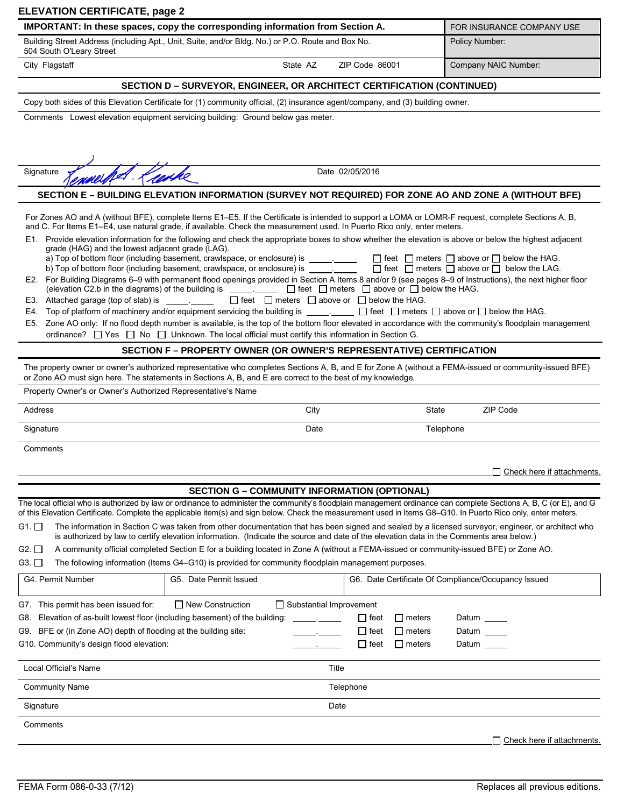| IMPORTANT: In these spaces, copy the corresponding information from Section A.                                                                                                                                                                                                                                                                                                                                                                                                                                                                                              |                                                                                                                                                                                                                                             |                            |                                | FOR INSURANCE COMPANY USE                                       |  |
|-----------------------------------------------------------------------------------------------------------------------------------------------------------------------------------------------------------------------------------------------------------------------------------------------------------------------------------------------------------------------------------------------------------------------------------------------------------------------------------------------------------------------------------------------------------------------------|---------------------------------------------------------------------------------------------------------------------------------------------------------------------------------------------------------------------------------------------|----------------------------|--------------------------------|-----------------------------------------------------------------|--|
| Building Street Address (including Apt., Unit, Suite, and/or Bldg. No.) or P.O. Route and Box No.                                                                                                                                                                                                                                                                                                                                                                                                                                                                           |                                                                                                                                                                                                                                             |                            |                                | Policy Number:                                                  |  |
| 504 South O'Leary Street                                                                                                                                                                                                                                                                                                                                                                                                                                                                                                                                                    |                                                                                                                                                                                                                                             |                            |                                |                                                                 |  |
| City Flagstaff                                                                                                                                                                                                                                                                                                                                                                                                                                                                                                                                                              | State AZ                                                                                                                                                                                                                                    | ZIP Code 86001             |                                | Company NAIC Number:                                            |  |
|                                                                                                                                                                                                                                                                                                                                                                                                                                                                                                                                                                             | SECTION D – SURVEYOR, ENGINEER, OR ARCHITECT CERTIFICATION (CONTINUED)                                                                                                                                                                      |                            |                                |                                                                 |  |
| Copy both sides of this Elevation Certificate for (1) community official, (2) insurance agent/company, and (3) building owner.                                                                                                                                                                                                                                                                                                                                                                                                                                              |                                                                                                                                                                                                                                             |                            |                                |                                                                 |  |
| Comments Lowest elevation equipment servicing building: Ground below gas meter.                                                                                                                                                                                                                                                                                                                                                                                                                                                                                             |                                                                                                                                                                                                                                             |                            |                                |                                                                 |  |
|                                                                                                                                                                                                                                                                                                                                                                                                                                                                                                                                                                             |                                                                                                                                                                                                                                             |                            |                                |                                                                 |  |
|                                                                                                                                                                                                                                                                                                                                                                                                                                                                                                                                                                             |                                                                                                                                                                                                                                             |                            |                                |                                                                 |  |
|                                                                                                                                                                                                                                                                                                                                                                                                                                                                                                                                                                             |                                                                                                                                                                                                                                             |                            |                                |                                                                 |  |
| Kanke<br>Signature                                                                                                                                                                                                                                                                                                                                                                                                                                                                                                                                                          |                                                                                                                                                                                                                                             | Date 02/05/2016            |                                |                                                                 |  |
|                                                                                                                                                                                                                                                                                                                                                                                                                                                                                                                                                                             | SECTION E - BUILDING ELEVATION INFORMATION (SURVEY NOT REQUIRED) FOR ZONE AO AND ZONE A (WITHOUT BFE)                                                                                                                                       |                            |                                |                                                                 |  |
| For Zones AO and A (without BFE), complete Items E1–E5. If the Certificate is intended to support a LOMA or LOMR-F request, complete Sections A, B,                                                                                                                                                                                                                                                                                                                                                                                                                         |                                                                                                                                                                                                                                             |                            |                                |                                                                 |  |
| and C. For Items E1-E4, use natural grade, if available. Check the measurement used. In Puerto Rico only, enter meters.                                                                                                                                                                                                                                                                                                                                                                                                                                                     |                                                                                                                                                                                                                                             |                            |                                |                                                                 |  |
| E1. Provide elevation information for the following and check the appropriate boxes to show whether the elevation is above or below the highest adjacent                                                                                                                                                                                                                                                                                                                                                                                                                    |                                                                                                                                                                                                                                             |                            |                                |                                                                 |  |
| grade (HAG) and the lowest adjacent grade (LAG).                                                                                                                                                                                                                                                                                                                                                                                                                                                                                                                            | a) Top of bottom floor (including basement, crawlspace, or enclosure) is ________                                                                                                                                                           |                            |                                | $\Box$ feet $\Box$ meters $\Box$ above or $\Box$ below the HAG. |  |
|                                                                                                                                                                                                                                                                                                                                                                                                                                                                                                                                                                             | b) Top of bottom floor (including basement, crawlspace, or enclosure) is _______                                                                                                                                                            |                            |                                | $\Box$ feet $\Box$ meters $\Box$ above or $\Box$ below the LAG. |  |
| E2. For Building Diagrams 6–9 with permanent flood openings provided in Section A Items 8 and/or 9 (see pages 8–9 of Instructions), the next higher floor                                                                                                                                                                                                                                                                                                                                                                                                                   | (elevation C2.b in the diagrams) of the building is ____________ □ feet □ meters □ above or □ below the HAG.                                                                                                                                |                            |                                |                                                                 |  |
| E3. Attached garage (top of slab) is                                                                                                                                                                                                                                                                                                                                                                                                                                                                                                                                        | $\Box$ feet $\Box$ meters $\Box$ above or $\Box$ below the HAG.                                                                                                                                                                             |                            |                                |                                                                 |  |
| E4.                                                                                                                                                                                                                                                                                                                                                                                                                                                                                                                                                                         | Top of platform of machinery and/or equipment servicing the building is ___________ [ ] feet [ ] meters [ ] above or [ ] below the HAG.                                                                                                     |                            |                                |                                                                 |  |
| E5. Zone AO only: If no flood depth number is available, is the top of the bottom floor elevated in accordance with the community's floodplain management                                                                                                                                                                                                                                                                                                                                                                                                                   | ordinance? $\Box$ Yes $\Box$ No $\Box$ Unknown. The local official must certify this information in Section G.                                                                                                                              |                            |                                |                                                                 |  |
|                                                                                                                                                                                                                                                                                                                                                                                                                                                                                                                                                                             | SECTION F – PROPERTY OWNER (OR OWNER'S REPRESENTATIVE) CERTIFICATION                                                                                                                                                                        |                            |                                |                                                                 |  |
|                                                                                                                                                                                                                                                                                                                                                                                                                                                                                                                                                                             | The property owner or owner's authorized representative who completes Sections A, B, and E for Zone A (without a FEMA-issued or community-issued BFE)                                                                                       |                            |                                |                                                                 |  |
|                                                                                                                                                                                                                                                                                                                                                                                                                                                                                                                                                                             |                                                                                                                                                                                                                                             |                            |                                |                                                                 |  |
|                                                                                                                                                                                                                                                                                                                                                                                                                                                                                                                                                                             |                                                                                                                                                                                                                                             |                            |                                |                                                                 |  |
|                                                                                                                                                                                                                                                                                                                                                                                                                                                                                                                                                                             | City                                                                                                                                                                                                                                        |                            | State                          | ZIP Code                                                        |  |
|                                                                                                                                                                                                                                                                                                                                                                                                                                                                                                                                                                             |                                                                                                                                                                                                                                             |                            |                                |                                                                 |  |
| or Zone AO must sign here. The statements in Sections A, B, and E are correct to the best of my knowledge.<br>Property Owner's or Owner's Authorized Representative's Name<br>Address<br>Signature                                                                                                                                                                                                                                                                                                                                                                          | Date                                                                                                                                                                                                                                        |                            | Telephone                      |                                                                 |  |
|                                                                                                                                                                                                                                                                                                                                                                                                                                                                                                                                                                             |                                                                                                                                                                                                                                             |                            |                                |                                                                 |  |
|                                                                                                                                                                                                                                                                                                                                                                                                                                                                                                                                                                             |                                                                                                                                                                                                                                             |                            |                                | $\Box$ Check here if attachments.                               |  |
|                                                                                                                                                                                                                                                                                                                                                                                                                                                                                                                                                                             |                                                                                                                                                                                                                                             |                            |                                |                                                                 |  |
|                                                                                                                                                                                                                                                                                                                                                                                                                                                                                                                                                                             | <b>SECTION G - COMMUNITY INFORMATION (OPTIONAL)</b>                                                                                                                                                                                         |                            |                                |                                                                 |  |
|                                                                                                                                                                                                                                                                                                                                                                                                                                                                                                                                                                             |                                                                                                                                                                                                                                             |                            |                                |                                                                 |  |
|                                                                                                                                                                                                                                                                                                                                                                                                                                                                                                                                                                             | The information in Section C was taken from other documentation that has been signed and sealed by a licensed surveyor, engineer, or architect who                                                                                          |                            |                                |                                                                 |  |
|                                                                                                                                                                                                                                                                                                                                                                                                                                                                                                                                                                             | is authorized by law to certify elevation information. (Indicate the source and date of the elevation data in the Comments area below.)                                                                                                     |                            |                                |                                                                 |  |
|                                                                                                                                                                                                                                                                                                                                                                                                                                                                                                                                                                             | A community official completed Section E for a building located in Zone A (without a FEMA-issued or community-issued BFE) or Zone AO.<br>The following information (Items G4-G10) is provided for community floodplain management purposes. |                            |                                |                                                                 |  |
|                                                                                                                                                                                                                                                                                                                                                                                                                                                                                                                                                                             | G5. Date Permit Issued                                                                                                                                                                                                                      |                            |                                | G6. Date Certificate Of Compliance/Occupancy Issued             |  |
|                                                                                                                                                                                                                                                                                                                                                                                                                                                                                                                                                                             |                                                                                                                                                                                                                                             |                            |                                |                                                                 |  |
|                                                                                                                                                                                                                                                                                                                                                                                                                                                                                                                                                                             | $\Box$ New Construction<br>$\Box$ Substantial Improvement                                                                                                                                                                                   |                            |                                |                                                                 |  |
| Elevation of as-built lowest floor (including basement) of the building:                                                                                                                                                                                                                                                                                                                                                                                                                                                                                                    |                                                                                                                                                                                                                                             | ∣ I feet                   | $\Box$ meters                  | Datum                                                           |  |
| BFE or (in Zone AO) depth of flooding at the building site:                                                                                                                                                                                                                                                                                                                                                                                                                                                                                                                 |                                                                                                                                                                                                                                             | $\Box$ feet<br>$\Box$ feet | $\Box$ meters<br>$\Box$ meters | Datum<br>Datum ____                                             |  |
|                                                                                                                                                                                                                                                                                                                                                                                                                                                                                                                                                                             |                                                                                                                                                                                                                                             |                            |                                |                                                                 |  |
|                                                                                                                                                                                                                                                                                                                                                                                                                                                                                                                                                                             | Title                                                                                                                                                                                                                                       |                            |                                |                                                                 |  |
| Comments<br>The local official who is authorized by law or ordinance to administer the community's floodplain management ordinance can complete Sections A, B, C (or E), and G<br>of this Elevation Certificate. Complete the applicable item(s) and sign below. Check the measurement used in Items G8-G10. In Puerto Rico only, enter meters.<br>G1. $\Box$<br>G2. $\square$<br>G3.<br>G4. Permit Number<br>G7. This permit has been issued for:<br>G8.<br>G9.<br>G10. Community's design flood elevation:<br>Local Official's Name<br><b>Community Name</b><br>Signature | Date                                                                                                                                                                                                                                        | Telephone                  |                                |                                                                 |  |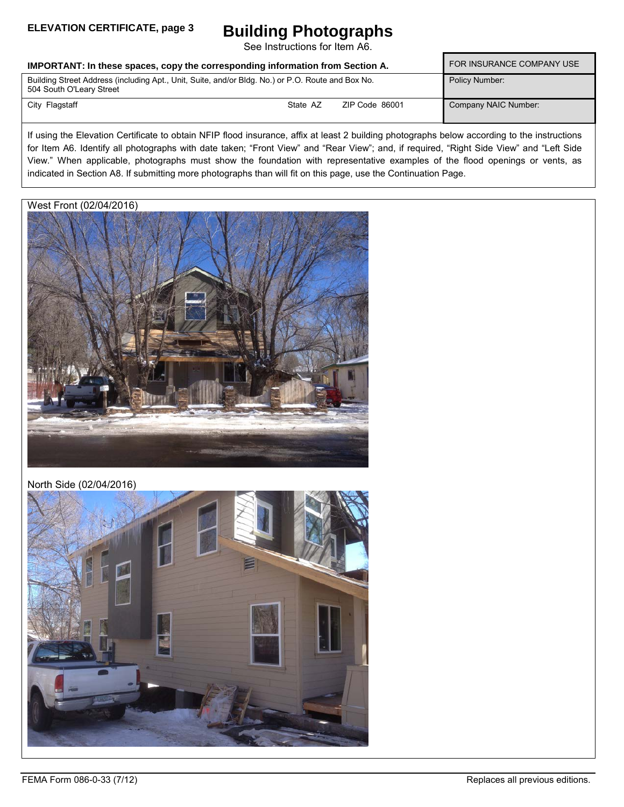#### **ELEVATION CERTIFICATE, page 3**

## **Building Photographs**

See Instructions for Item A6.

| IMPORTANT: In these spaces, copy the corresponding information from Section A.                                                | FOR INSURANCE COMPANY USE |                |                      |
|-------------------------------------------------------------------------------------------------------------------------------|---------------------------|----------------|----------------------|
| Building Street Address (including Apt., Unit, Suite, and/or Bldg. No.) or P.O. Route and Box No.<br>504 South O'Leary Street |                           |                | Policy Number:       |
| City Flagstaff                                                                                                                | State AZ                  | ZIP Code 86001 | Company NAIC Number: |

If using the Elevation Certificate to obtain NFIP flood insurance, affix at least 2 building photographs below according to the instructions for Item A6. Identify all photographs with date taken; "Front View" and "Rear View"; and, if required, "Right Side View" and "Left Side View." When applicable, photographs must show the foundation with representative examples of the flood openings or vents, as indicated in Section A8. If submitting more photographs than will fit on this page, use the Continuation Page.

#### West Front (02/04/2016)



#### North Side (02/04/2016)